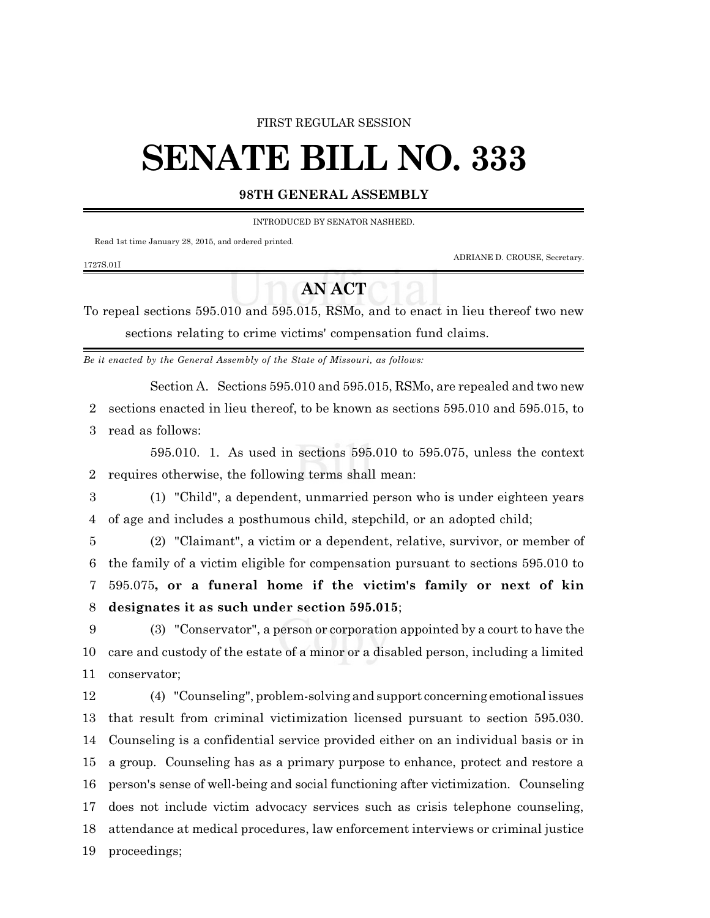#### FIRST REGULAR SESSION

# **SENATE BILL NO. 333**

### **98TH GENERAL ASSEMBLY**

INTRODUCED BY SENATOR NASHEED.

Read 1st time January 28, 2015, and ordered printed.

ADRIANE D. CROUSE, Secretary.

#### 1727S.01I

## **AN ACT**

To repeal sections 595.010 and 595.015, RSMo, and to enact in lieu thereof two new sections relating to crime victims' compensation fund claims.

*Be it enacted by the General Assembly of the State of Missouri, as follows:*

Section A. Sections 595.010 and 595.015, RSMo, are repealed and two new

sections enacted in lieu thereof, to be known as sections 595.010 and 595.015, to

read as follows:

595.010. 1. As used in sections 595.010 to 595.075, unless the context requires otherwise, the following terms shall mean:

 (1) "Child", a dependent, unmarried person who is under eighteen years of age and includes a posthumous child, stepchild, or an adopted child;

 (2) "Claimant", a victim or a dependent, relative, survivor, or member of the family of a victim eligible for compensation pursuant to sections 595.010 to 595.075**, or a funeral home if the victim's family or next of kin designates it as such under section 595.015**;

 (3) "Conservator", a person or corporation appointed by a court to have the care and custody of the estate of a minor or a disabled person, including a limited conservator;

 (4) "Counseling", problem-solving and support concerning emotional issues that result from criminal victimization licensed pursuant to section 595.030. Counseling is a confidential service provided either on an individual basis or in a group. Counseling has as a primary purpose to enhance, protect and restore a person's sense of well-being and social functioning after victimization. Counseling does not include victim advocacy services such as crisis telephone counseling, attendance at medical procedures, law enforcement interviews or criminal justice proceedings;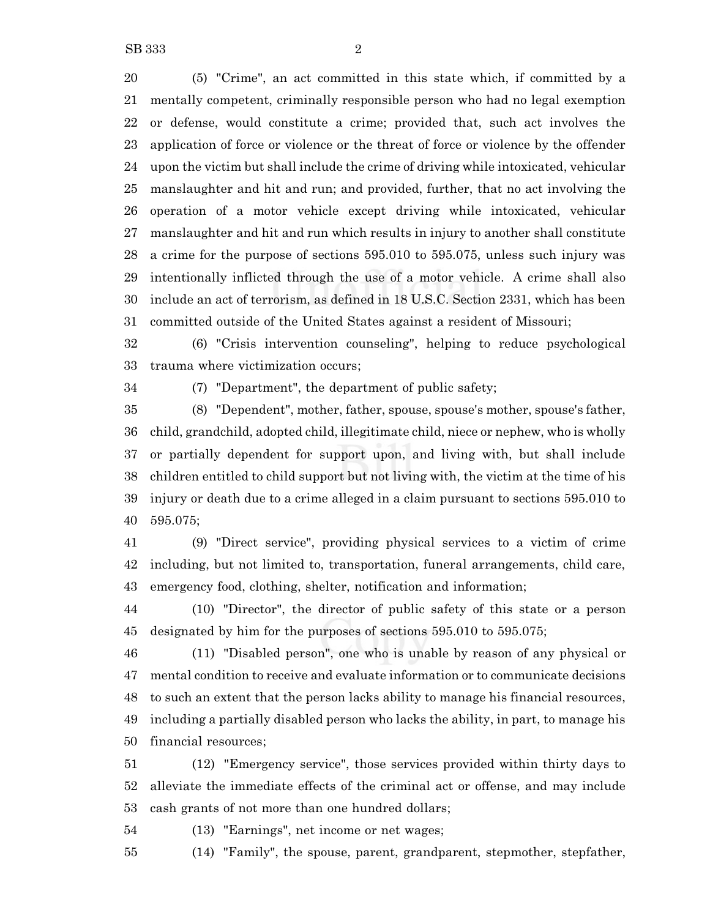(5) "Crime", an act committed in this state which, if committed by a mentally competent, criminally responsible person who had no legal exemption or defense, would constitute a crime; provided that, such act involves the application of force or violence or the threat of force or violence by the offender upon the victim but shall include the crime of driving while intoxicated, vehicular manslaughter and hit and run; and provided, further, that no act involving the operation of a motor vehicle except driving while intoxicated, vehicular manslaughter and hit and run which results in injury to another shall constitute a crime for the purpose of sections 595.010 to 595.075, unless such injury was intentionally inflicted through the use of a motor vehicle. A crime shall also include an act of terrorism, as defined in 18 U.S.C. Section 2331, which has been committed outside of the United States against a resident of Missouri;

 (6) "Crisis intervention counseling", helping to reduce psychological trauma where victimization occurs;

(7) "Department", the department of public safety;

 (8) "Dependent", mother, father, spouse, spouse's mother, spouse's father, child, grandchild, adopted child, illegitimate child, niece or nephew, who is wholly or partially dependent for support upon, and living with, but shall include children entitled to child support but not living with, the victim at the time of his injury or death due to a crime alleged in a claim pursuant to sections 595.010 to 595.075;

 (9) "Direct service", providing physical services to a victim of crime including, but not limited to, transportation, funeral arrangements, child care, emergency food, clothing, shelter, notification and information;

 (10) "Director", the director of public safety of this state or a person designated by him for the purposes of sections 595.010 to 595.075;

 (11) "Disabled person", one who is unable by reason of any physical or mental condition to receive and evaluate information or to communicate decisions to such an extent that the person lacks ability to manage his financial resources, including a partially disabled person who lacks the ability, in part, to manage his financial resources;

 (12) "Emergency service", those services provided within thirty days to alleviate the immediate effects of the criminal act or offense, and may include cash grants of not more than one hundred dollars;

(13) "Earnings", net income or net wages;

(14) "Family", the spouse, parent, grandparent, stepmother, stepfather,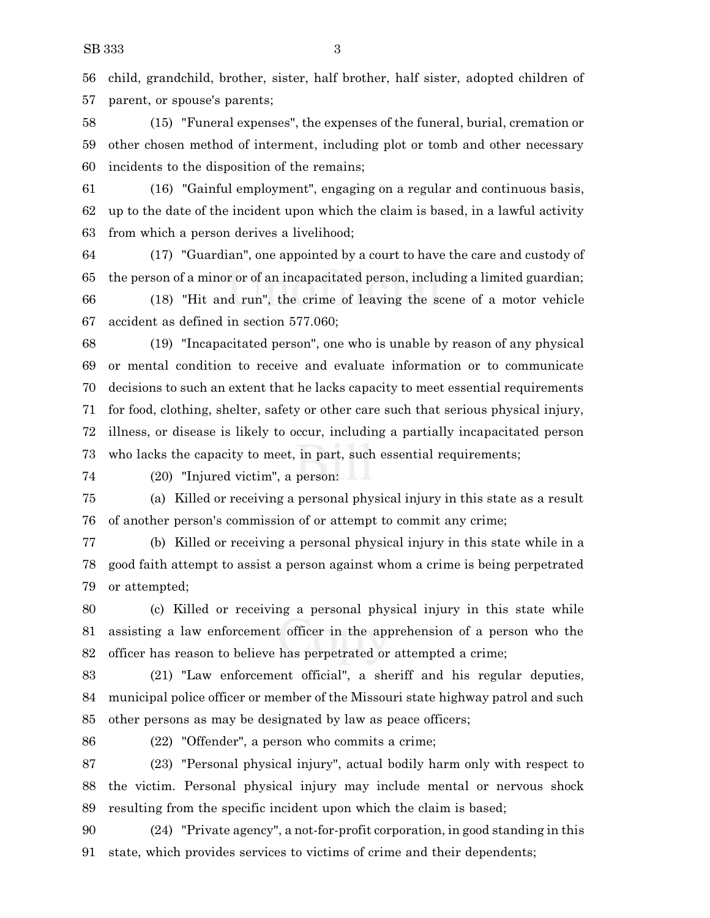child, grandchild, brother, sister, half brother, half sister, adopted children of parent, or spouse's parents;

 (15) "Funeral expenses", the expenses of the funeral, burial, cremation or other chosen method of interment, including plot or tomb and other necessary incidents to the disposition of the remains;

 (16) "Gainful employment", engaging on a regular and continuous basis, up to the date of the incident upon which the claim is based, in a lawful activity from which a person derives a livelihood;

 (17) "Guardian", one appointed by a court to have the care and custody of the person of a minor or of an incapacitated person, including a limited guardian;

 (18) "Hit and run", the crime of leaving the scene of a motor vehicle accident as defined in section 577.060;

 (19) "Incapacitated person", one who is unable by reason of any physical or mental condition to receive and evaluate information or to communicate decisions to such an extent that he lacks capacity to meet essential requirements for food, clothing, shelter, safety or other care such that serious physical injury, illness, or disease is likely to occur, including a partially incapacitated person who lacks the capacity to meet, in part, such essential requirements;

(20) "Injured victim", a person:

 (a) Killed or receiving a personal physical injury in this state as a result of another person's commission of or attempt to commit any crime;

 (b) Killed or receiving a personal physical injury in this state while in a good faith attempt to assist a person against whom a crime is being perpetrated or attempted;

 (c) Killed or receiving a personal physical injury in this state while assisting a law enforcement officer in the apprehension of a person who the officer has reason to believe has perpetrated or attempted a crime;

 (21) "Law enforcement official", a sheriff and his regular deputies, municipal police officer or member of the Missouri state highway patrol and such other persons as may be designated by law as peace officers;

(22) "Offender", a person who commits a crime;

 (23) "Personal physical injury", actual bodily harm only with respect to the victim. Personal physical injury may include mental or nervous shock resulting from the specific incident upon which the claim is based;

 (24) "Private agency", a not-for-profit corporation, in good standing in this state, which provides services to victims of crime and their dependents;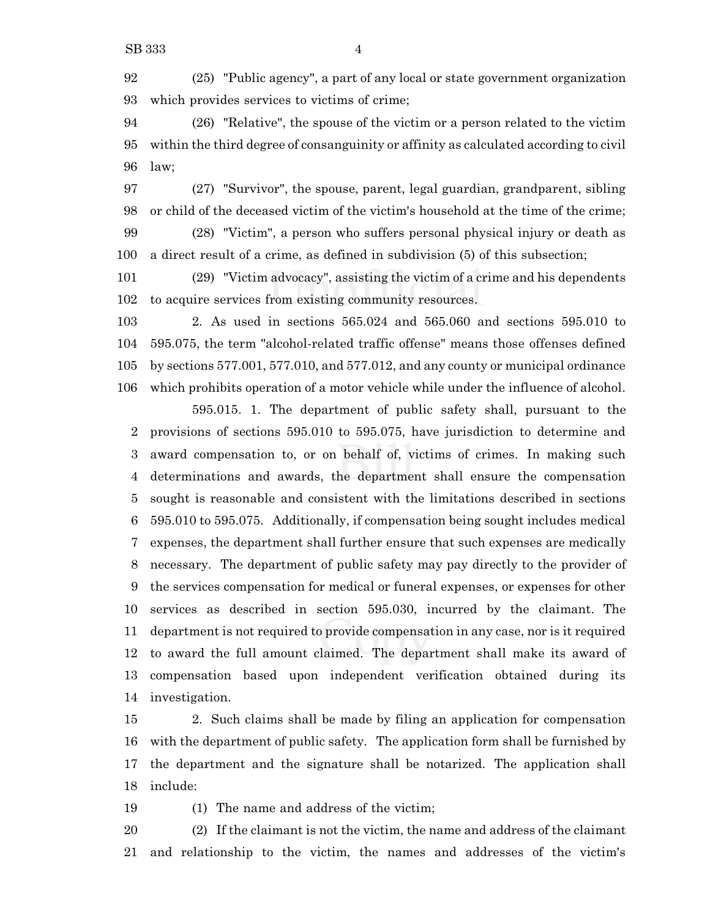(25) "Public agency", a part of any local or state government organization which provides services to victims of crime;

 (26) "Relative", the spouse of the victim or a person related to the victim within the third degree of consanguinity or affinity as calculated according to civil law;

 (27) "Survivor", the spouse, parent, legal guardian, grandparent, sibling or child of the deceased victim of the victim's household at the time of the crime; (28) "Victim", a person who suffers personal physical injury or death as

a direct result of a crime, as defined in subdivision (5) of this subsection;

 (29) "Victim advocacy", assisting the victim of a crime and his dependents to acquire services from existing community resources.

 2. As used in sections 565.024 and 565.060 and sections 595.010 to 595.075, the term "alcohol-related traffic offense" means those offenses defined by sections 577.001, 577.010, and 577.012, and any county or municipal ordinance which prohibits operation of a motor vehicle while under the influence of alcohol.

595.015. 1. The department of public safety shall, pursuant to the provisions of sections 595.010 to 595.075, have jurisdiction to determine and award compensation to, or on behalf of, victims of crimes. In making such determinations and awards, the department shall ensure the compensation sought is reasonable and consistent with the limitations described in sections 595.010 to 595.075. Additionally, if compensation being sought includes medical expenses, the department shall further ensure that such expenses are medically necessary. The department of public safety may pay directly to the provider of the services compensation for medical or funeral expenses, or expenses for other services as described in section 595.030, incurred by the claimant. The department is not required to provide compensation in any case, nor is it required to award the full amount claimed. The department shall make its award of compensation based upon independent verification obtained during its investigation.

 2. Such claims shall be made by filing an application for compensation with the department of public safety. The application form shall be furnished by the department and the signature shall be notarized. The application shall include:

(1) The name and address of the victim;

 (2) If the claimant is not the victim, the name and address of the claimant and relationship to the victim, the names and addresses of the victim's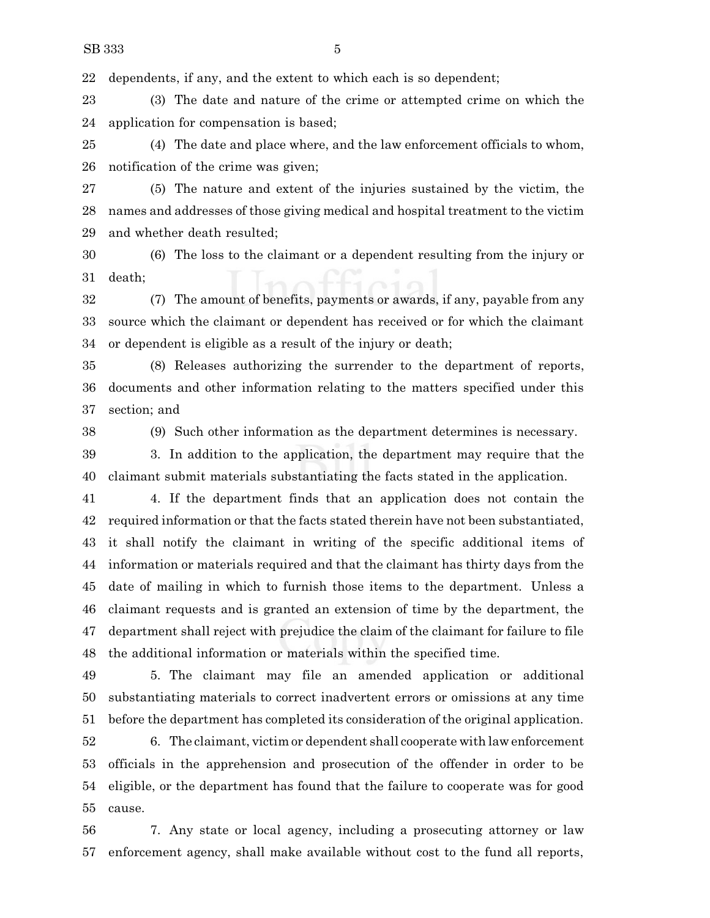dependents, if any, and the extent to which each is so dependent;

 (3) The date and nature of the crime or attempted crime on which the application for compensation is based;

 (4) The date and place where, and the law enforcement officials to whom, notification of the crime was given;

 (5) The nature and extent of the injuries sustained by the victim, the names and addresses of those giving medical and hospital treatment to the victim and whether death resulted;

 (6) The loss to the claimant or a dependent resulting from the injury or death;

 (7) The amount of benefits, payments or awards, if any, payable from any source which the claimant or dependent has received or for which the claimant or dependent is eligible as a result of the injury or death;

 (8) Releases authorizing the surrender to the department of reports, documents and other information relating to the matters specified under this section; and

(9) Such other information as the department determines is necessary.

 3. In addition to the application, the department may require that the claimant submit materials substantiating the facts stated in the application.

 4. If the department finds that an application does not contain the required information or that the facts stated therein have not been substantiated, it shall notify the claimant in writing of the specific additional items of information or materials required and that the claimant has thirty days from the date of mailing in which to furnish those items to the department. Unless a claimant requests and is granted an extension of time by the department, the department shall reject with prejudice the claim of the claimant for failure to file the additional information or materials within the specified time.

 5. The claimant may file an amended application or additional substantiating materials to correct inadvertent errors or omissions at any time before the department has completed its consideration of the original application.

 6. The claimant, victim or dependent shall cooperate with lawenforcement officials in the apprehension and prosecution of the offender in order to be eligible, or the department has found that the failure to cooperate was for good cause.

 7. Any state or local agency, including a prosecuting attorney or law enforcement agency, shall make available without cost to the fund all reports,